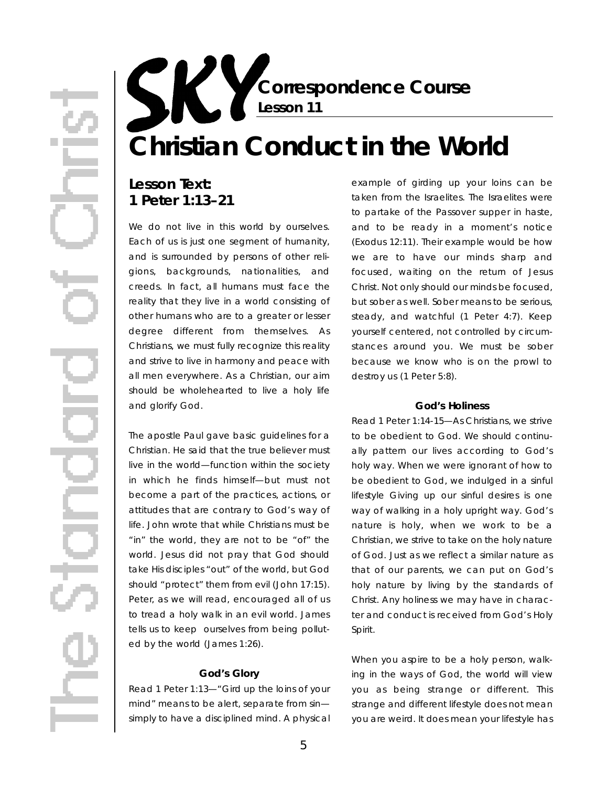**Correspondence Course Lesson 11**

# **Christian Conduct in the World**

## Lesson Text: **1 Peter 1:13–21**

We do not live in this world by ourselves. Each of us is just one segment of humanity, and is surrounded by persons of other religions, backgrounds, nationalities, and creeds. In fact, all humans must face the reality that they live in a world consisting of other humans who are to a greater or lesser degree different from themselves. As Christians, we must fully recognize this reality and strive to live in harmony and peace with all men everywhere. As a Christian, our aim should be wholehearted to live a holy life and glorify God.

The apostle Paul gave basic guidelines for a Christian. He said that the true believer must live in the world—function within the society in which he finds himself—but must not become a part of the practices, actions, or attitudes that are contrary to God's way of life. John wrote that while Christians must be "in" the world, they are not to be "of" the world. Jesus did not pray that God should take His disciples "out" of the world, but God should "protect" them from evil (John 17:15). Peter, as we will read, encouraged all of us to tread a holy walk in an evil world. James tells us to keep ourselves from being polluted by the world (James 1:26).

#### **God's Glory**

*Read 1 Peter 1:13*—" Gird up the loins of your mind" means to be alert, separate from sin simply to have a disciplined mind. A physical

example of girding up your loins can be taken from the Israelites. The Israelites were to partake of the Passover supper in haste, and to be ready in a moment's notice (Exodus 12:11). Their example would be how we are to have our minds sharp and focused, waiting on the return of Jesus Christ. Not only should our minds be focused, but sober as well. Sober means to be serious, steady, and watchful (1 Peter 4:7). Keep yourself centered, not controlled by circumstances around you. We must be sober because we know who is on the prowl to destroy us (1 Peter 5:8).

#### **God's Holiness**

*Read 1 Peter 1:14-15*—As Christians, we strive to be obedient to God. We should continually pattern our lives according to God's holy way. When we were ignorant of how to be obedient to God, we indulged in a sinful lifestyle Giving up our sinful desires is one way of walking in a holy upright way. God's nature is holy, when we work to be a Christian, we strive to take on the holy nature of God. Just as we reflect a similar nature as that of our parents, we can put on God's holy nature by living by the standards of Christ. Any holiness we may have in character and conduct is received from God's Holy Spirit.

When you aspire to be a holy person, walking in the ways of God, the world will view you as being strange or different. This strange and different lifestyle does not mean you are weird. It does mean your lifestyle has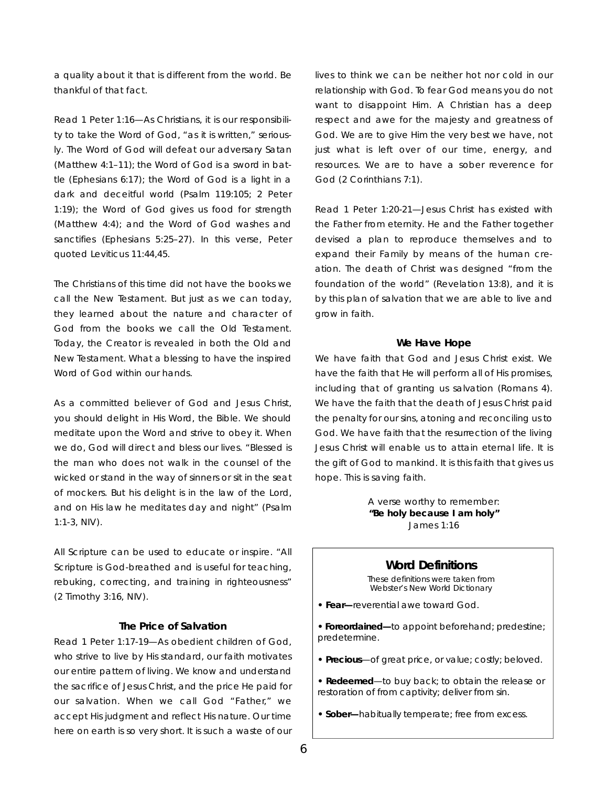a quality about it that is different from the world. Be thankful of that fact.

*Read 1 Peter 1:16*—As Christians, it is our responsibility to take the Word of God, "as it is written," seriously. The Word of God will defeat our adversary Satan (Matthew  $4:1-11$ ); the Word of God is a sword in battle (Ephesians  $6:17$ ); the Word of God is a light in a dark and deceitful world (Psalm 119:105; 2 Peter  $1:19$ ); the Word of God gives us food for strength (Matthew  $4:4$ ); and the Word of God washes and sanctifies (Ephesians 5:25–27). In this verse, Peter quoted Leviticus 11:44,45.

The Christians of this time did not have the books we call the New Testament. But just as we can today, they learned about the nature and character of God from the books we call the Old Testament. Today, the Creator is revealed in *both* the Old and New Testament. What a blessing to have the inspired Word of God within our hands.

As a committed believer of God and Jesus Christ, you should delight in His Word, the Bible. We should meditate upon the Word and strive to obey it. When we do, God will direct and bless our lives. "Blessed is the man who does not walk in the counsel of the wicked or stand in the way of sinners or sit in the seat of mockers. But his delight is in the law of the Lord, and on His law he meditates day and night" (Psalm 1:1-3, NIV).

All Scripture can be used to educate or inspire. "All Scripture is God-breathed and is useful for teaching, rebuking, correcting, and training in righteousness" (2 Timothy 3:16, NIV).

#### **The Price of Salvation**

*Read 1 Peter 1:17-19*—As obedient children of God, who strive to live by His standard, our faith motivates our entire pattern of living. We know and understand the sacrifice of Jesus Christ, and the price He paid for our salvation. When we call God "Father," we accept His judgment and reflect His nature. Our time here on earth is so very short. It is such a waste of our

lives to think we can be neither hot nor cold in our relationship with God. To fear God means you do not want to disappoint Him. A Christian has a deep respect and awe for the majesty and greatness of God. We are to give Him the very best we have, not just what is left over of our time, energy, and resources. We are to have a sober reverence for God (2 Corinthians 7:1).

*Read 1 Peter 1:20-21*—Jesus Christ has existed with the Father from eternity. He and the Father together devised a plan to reproduce themselves and to expand their Family by means of the human creation. The death of Christ was designed "from the foundation of the world" (Revelation 13:8), and it is by this plan of salvation that we are able to live and grow in faith.

#### **We Have Hope**

We have faith that God and Jesus Christ exist. We have the faith that He will perform all of His promises, including that of granting us salvation (Romans 4). We have the faith that the death of Jesus Christ paid the penalty for our sins, atoning and reconciling us to God. We have faith that the resurrection of the living Jesus Christ will enable us to attain eternal life. It is the gift of God to mankind. It is this faith that gives us hope. This is *saving* faith.

> A verse worthy to remember: **"Be holy because I am holy"** James 1:16

#### **Word Definitions**

These definitions were taken from *Webster's New World Dictionary*

- **Fear—**reverential awe toward God.
- Foreordained—to appoint beforehand; predestine; predetermine.
- Precious-of great price, or value; costly; beloved.
- **Redeemed**—to buy back; to obtain the release or restoration of from captivity; deliver from sin.
- **Sober—**habitually temperate; free from excess.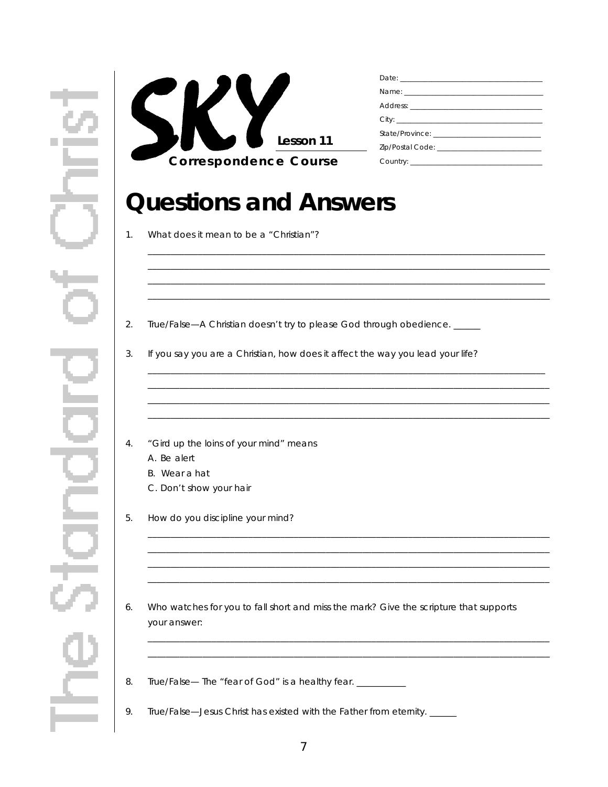

## **Questions and Answers**

- What does it mean to be a "Christian"?  $1.$
- $2.$ True/False-A Christian doesn't try to please God through obedience.
- $3.$ If you say you are a Christian, how does it affect the way you lead your life?
- 4. "Gird up the loins of your mind" means
	- A. Be alert
	- B. Wear a hat
	- C. Don't show your hair
- 5. How do you discipline your mind?
- 6. Who watches for you to fall short and miss the mark? Give the scripture that supports your answer:
- 8. True/False- The "fear of God" is a healthy fear. \_\_\_\_\_\_\_\_\_\_
- 9. True/False—Jesus Christ has existed with the Father from eternity. \_\_\_\_\_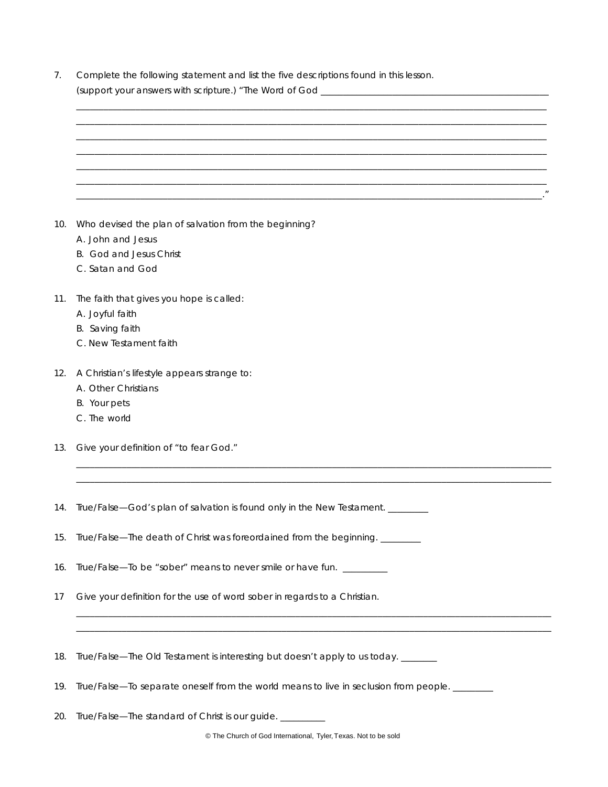| 7.  | Complete the following statement and list the five descriptions found in this lesson.         |
|-----|-----------------------------------------------------------------------------------------------|
|     |                                                                                               |
|     |                                                                                               |
|     |                                                                                               |
|     |                                                                                               |
|     |                                                                                               |
|     |                                                                                               |
| 10. | Who devised the plan of salvation from the beginning?                                         |
|     | A. John and Jesus                                                                             |
|     | B. God and Jesus Christ                                                                       |
|     | C. Satan and God                                                                              |
| 11. | The faith that gives you hope is called:                                                      |
|     | A. Joyful faith                                                                               |
|     | B. Saving faith                                                                               |
|     | C. New Testament faith                                                                        |
| 12. | A Christian's lifestyle appears strange to:                                                   |
|     | A. Other Christians                                                                           |
|     | B. Your pets                                                                                  |
|     | C. The world                                                                                  |
| 13. | Give your definition of "to fear God."                                                        |
|     |                                                                                               |
|     | 14. True/False—God's plan of salvation is found only in the New Testament. ________           |
| 15. | True/False—The death of Christ was foreordained from the beginning. ________                  |
| 16. | True/False-To be "sober" means to never smile or have fun. _________                          |
| 17  | Give your definition for the use of word <i>sober</i> in regards to a Christian.              |
|     |                                                                                               |
|     |                                                                                               |
| 18. | True/False—The Old Testament is interesting but doesn't apply to us today. ______             |
| 19. | True/False—To separate oneself from the world means to live in seclusion from people. _______ |

20. True/False—The standard of Christ is our guide. \_\_\_\_\_\_\_\_

© The Church of God International, Tyler, Texas. Not to be sold